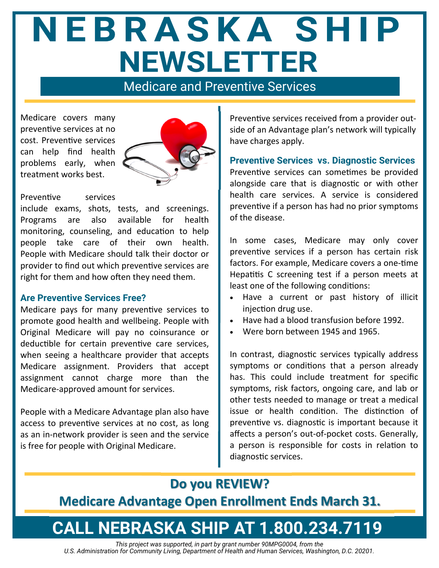# NEBRASKA SHIP **NEWSLETTER**

Medicare and Preventive Services

Medicare covers many preventive services at no cost. Preventive services can help find health problems early, when treatment works best.



#### Preventive services

include exams, shots, tests, and screenings. Programs are also available for health monitoring, counseling, and education to help people take care of their own health. People with Medicare should talk their doctor or provider to find out which preventive services are right for them and how often they need them.

#### **Are Preventive Services Free?**

Medicare pays for many preventive services to promote good health and wellbeing. People with Original Medicare will pay no coinsurance or deductible for certain preventive care services, when seeing a healthcare provider that accepts Medicare assignment. Providers that accept assignment cannot charge more than the Medicare-approved amount for services.

People with a Medicare Advantage plan also have access to preventive services at no cost, as long as an in-network provider is seen and the service is free for people with Original Medicare.

Preventive services received from a provider outside of an Advantage plan's network will typically have charges apply.

**Preventive Services vs. Diagnostic Services** 

Preventive services can sometimes be provided alongside care that is diagnostic or with other health care services. A service is considered preventive if a person has had no prior symptoms of the disease.

In some cases, Medicare may only cover preventive services if a person has certain risk factors. For example, Medicare covers a one-time Hepatitis C screening test if a person meets at least one of the following conditions:

- Have a current or past history of illicit injection drug use.
- Have had a blood transfusion before 1992.
- Were born between 1945 and 1965.

In contrast, diagnostic services typically address symptoms or conditions that a person already has. This could include treatment for specific symptoms, risk factors, ongoing care, and lab or other tests needed to manage or treat a medical issue or health condition. The distinction of preventive vs. diagnostic is important because it affects a person's out-of-pocket costs. Generally, a person is responsible for costs in relation to diagnostic services.

### **Do you REVIEW?**

**Medicare Advantage Open Enrollment Ends March 31.** 

## **CALL NEBRASKA SHIP AT 1.800.234.7119**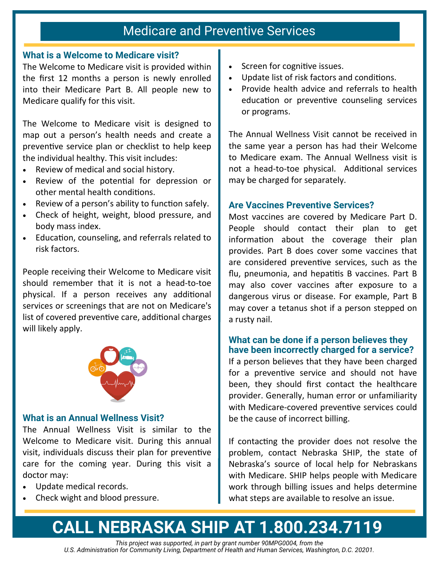### Medicare and Preventive Services

### **What is a Welcome to Medicare visit?**

The Welcome to Medicare visit is provided within the first 12 months a person is newly enrolled into their Medicare Part B. All people new to Medicare qualify for this visit.

The Welcome to Medicare visit is designed to map out a person's health needs and create a preventive service plan or checklist to help keep the individual healthy. This visit includes:

- Review of medical and social history.
- Review of the potential for depression or other mental health conditions.
- Review of a person's ability to function safely.
- Check of height, weight, blood pressure, and body mass index.
- EducaƟon, counseling, and referrals related to risk factors.

People receiving their Welcome to Medicare visit should remember that it is not a head-to-toe physical. If a person receives any additional services or screenings that are not on Medicare's list of covered preventive care, additional charges will likely apply.



### **What is an Annual Wellness Visit?**

The Annual Wellness Visit is similar to the Welcome to Medicare visit. During this annual visit, individuals discuss their plan for preventive care for the coming year. During this visit a doctor may:

- Update medical records.
- Check wight and blood pressure.
- Screen for cognitive issues.
- Update list of risk factors and conditions.
- Provide health advice and referrals to health education or preventive counseling services or programs.

The Annual Wellness Visit cannot be received in the same year a person has had their Welcome to Medicare exam. The Annual Wellness visit is not a head-to-toe physical. Additional services may be charged for separately.

### **Are Vaccines Preventive Services?**

Most vaccines are covered by Medicare Part D. People should contact their plan to get information about the coverage their plan provides. Part B does cover some vaccines that are considered preventive services, such as the flu, pneumonia, and hepatitis B vaccines. Part B may also cover vaccines after exposure to a dangerous virus or disease. For example, Part B may cover a tetanus shot if a person stepped on a rusty nail.

### **What can be done if a person believes they have been incorrectly charged for a service?**

If a person believes that they have been charged for a preventive service and should not have been, they should first contact the healthcare provider. Generally, human error or unfamiliarity with Medicare-covered preventive services could be the cause of incorrect billing.

If contacting the provider does not resolve the problem, contact Nebraska SHIP, the state of Nebraska's source of local help for Nebraskans with Medicare. SHIP helps people with Medicare work through billing issues and helps determine what steps are available to resolve an issue.

## **CALL NEBRASKA SHIP AT 1.800.234.7119**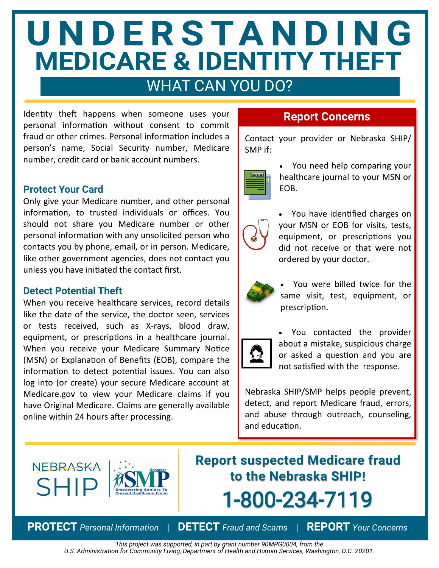# UNDERSTANDING **MEDICARE & IDENTITY THEFT**

### WHAT CAN YOU DO?

Identity theft happens when someone uses your personal information without consent to commit fraud or other crimes. Personal information includes a person's name, Social Security number, Medicare number, credit card or bank account numbers.

### **Protect Your Card**

Only give your Medicare number, and other personal information, to trusted individuals or offices. You should not share you Medicare number or other personal information with any unsolicited person who contacts you by phone, email, or in person. Medicare, like other government agencies, does not contact you unless you have initiated the contact first.

### **Detect Potential Theft**

When you receive healthcare services, record details like the date of the service, the doctor seen, services or tests received, such as X‐rays, blood draw, equipment, or prescriptions in a healthcare journal. When you receive your Medicare Summary Notice (MSN) or Explanation of Benefits (EOB), compare the information to detect potential issues. You can also log into (or create) your secure Medicare account at Medicare.gov to view your Medicare claims if you have Original Medicare. Claims are generally available online within 24 hours after processing.

### **Report Concerns**

Contact your provider or Nebraska SHIP/ SMP if:



 You need help comparing your healthcare journal to your MSN or EOB.



• You have identified charges on your MSN or EOB for visits, tests, equipment, or prescriptions you did not receive or that were not ordered by your doctor.



 You were billed twice for the same visit, test, equipment, or prescription.



 You contacted the provider about a mistake, suspicious charge or asked a question and you are not satisfied with the response.

Nebraska SHIP/SMP helps people prevent, detect, and report Medicare fraud, errors, and abuse through outreach, counseling, and education.



**Report suspected Medicare fraud to the Nebraska SHIP!** 1-800-234-7119

**PROTECT** *Personal Information* | **DETECT** *Fraud and Scams* | **REPORT** *Your Concerns*